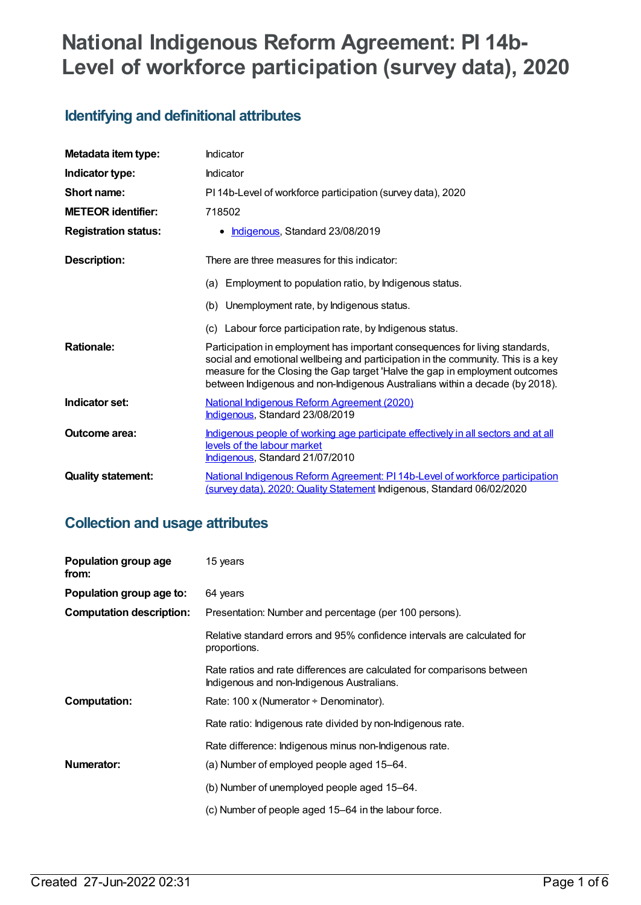# **National Indigenous Reform Agreement: PI 14b-Level of workforce participation (survey data), 2020**

# **Identifying and definitional attributes**

| Metadata item type:         | Indicator                                                                                                                                                                                                                                                                                                                        |
|-----------------------------|----------------------------------------------------------------------------------------------------------------------------------------------------------------------------------------------------------------------------------------------------------------------------------------------------------------------------------|
| Indicator type:             | Indicator                                                                                                                                                                                                                                                                                                                        |
| Short name:                 | PI 14b-Level of workforce participation (survey data), 2020                                                                                                                                                                                                                                                                      |
| <b>METEOR identifier:</b>   | 718502                                                                                                                                                                                                                                                                                                                           |
| <b>Registration status:</b> | Indigenous, Standard 23/08/2019<br>٠                                                                                                                                                                                                                                                                                             |
| Description:                | There are three measures for this indicator:                                                                                                                                                                                                                                                                                     |
|                             | (a) Employment to population ratio, by Indigenous status.                                                                                                                                                                                                                                                                        |
|                             | (b) Unemployment rate, by Indigenous status.                                                                                                                                                                                                                                                                                     |
|                             | (c) Labour force participation rate, by Indigenous status.                                                                                                                                                                                                                                                                       |
| <b>Rationale:</b>           | Participation in employment has important consequences for living standards,<br>social and emotional wellbeing and participation in the community. This is a key<br>measure for the Closing the Gap target 'Halve the gap in employment outcomes<br>between Indigenous and non-Indigenous Australians within a decade (by 2018). |
| Indicator set:              | National Indigenous Reform Agreement (2020)<br>Indigenous, Standard 23/08/2019                                                                                                                                                                                                                                                   |
| Outcome area:               | Indigenous people of working age participate effectively in all sectors and at all<br>levels of the labour market<br>Indigenous, Standard 21/07/2010                                                                                                                                                                             |
| <b>Quality statement:</b>   | National Indigenous Reform Agreement: PI 14b-Level of workforce participation<br>(survey data), 2020; Quality Statement Indigenous, Standard 06/02/2020                                                                                                                                                                          |

# **Collection and usage attributes**

| Population group age<br>from:   | 15 years                                                                                                              |
|---------------------------------|-----------------------------------------------------------------------------------------------------------------------|
| Population group age to:        | 64 years                                                                                                              |
| <b>Computation description:</b> | Presentation: Number and percentage (per 100 persons).                                                                |
|                                 | Relative standard errors and 95% confidence intervals are calculated for<br>proportions.                              |
|                                 | Rate ratios and rate differences are calculated for comparisons between<br>Indigenous and non-Indigenous Australians. |
| <b>Computation:</b>             | Rate: 100 x (Numerator $\div$ Denominator).                                                                           |
|                                 | Rate ratio: Indigenous rate divided by non-Indigenous rate.                                                           |
|                                 | Rate difference: Indigenous minus non-Indigenous rate.                                                                |
| Numerator:                      | (a) Number of employed people aged 15–64.                                                                             |
|                                 | (b) Number of unemployed people aged 15–64.                                                                           |
|                                 | (c) Number of people aged 15-64 in the labour force.                                                                  |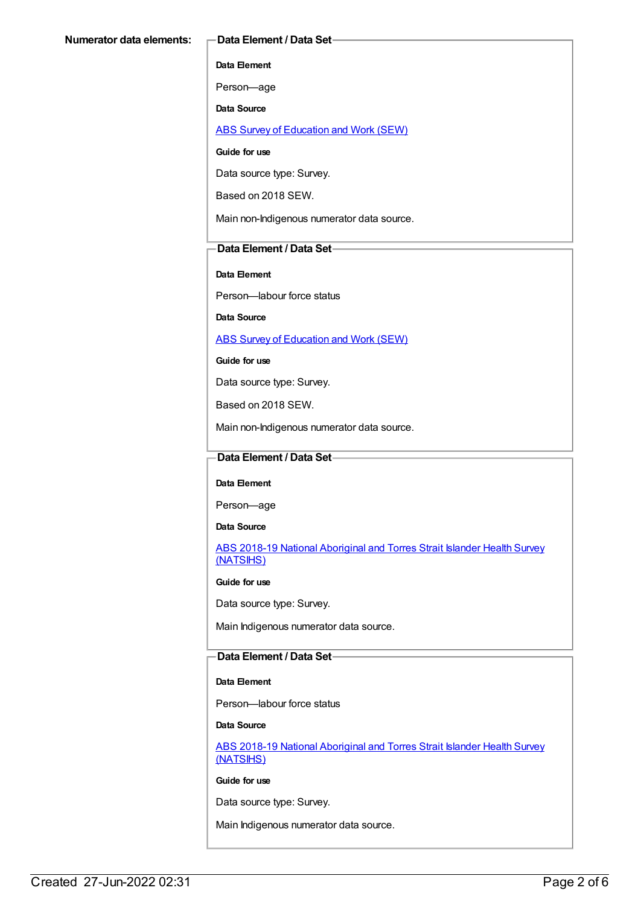**Data Element**

Person—age

**Data Source**

ABS Survey of [Education](https://meteor.aihw.gov.au/content/396601) and Work (SEW)

**Guide for use**

Data source type: Survey.

Based on 2018 SEW.

Main non-Indigenous numerator data source.

### **Data Element / Data Set**

#### **Data Element**

Person—labour force status

**Data Source**

ABS Survey of [Education](https://meteor.aihw.gov.au/content/396601) and Work (SEW)

#### **Guide for use**

Data source type: Survey.

Based on 2018 SEW.

Main non-Indigenous numerator data source.

### **Data Element / Data Set**

#### **Data Element**

Person—age

**Data Source**

ABS 2018-19 National [Aboriginal](https://meteor.aihw.gov.au/content/719848) and Torres Strait Islander Health Survey (NATSIHS)

**Guide for use**

Data source type: Survey.

Main Indigenous numerator data source.

### **Data Element / Data Set**

#### **Data Element**

Person—labour force status

#### **Data Source**

ABS 2018-19 National [Aboriginal](https://meteor.aihw.gov.au/content/719848) and Torres Strait Islander Health Survey (NATSIHS)

#### **Guide for use**

Data source type: Survey.

Main Indigenous numerator data source.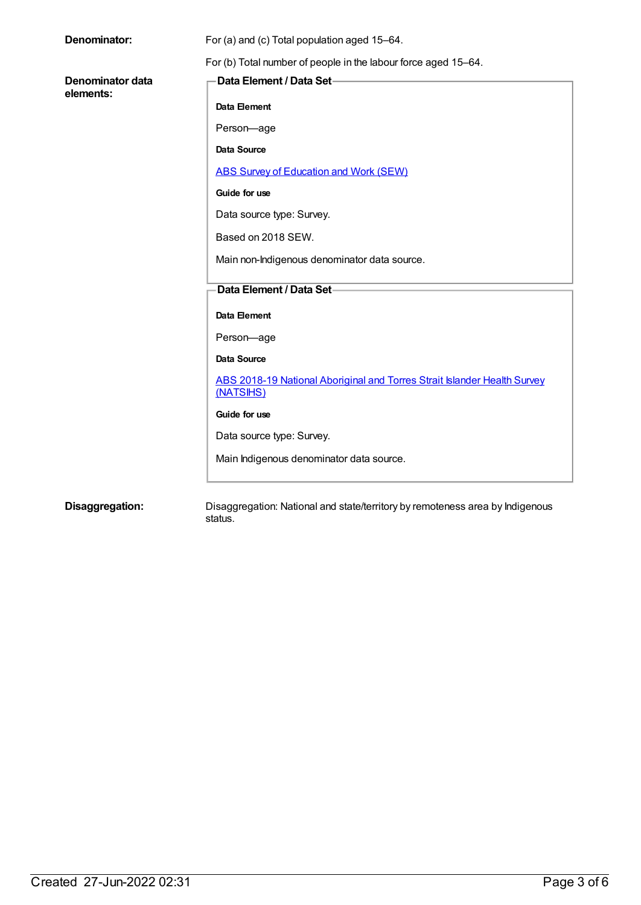| Denominator:                  | For (a) and (c) Total population aged 15-64.                             |
|-------------------------------|--------------------------------------------------------------------------|
|                               | For (b) Total number of people in the labour force aged 15-64.           |
| Denominator data<br>elements: | Data Element / Data Set-                                                 |
|                               | Data Element                                                             |
|                               | Person-age                                                               |
|                               | Data Source                                                              |
|                               | <b>ABS Survey of Education and Work (SEW)</b>                            |
|                               | Guide for use                                                            |
|                               | Data source type: Survey.                                                |
|                               | Based on 2018 SEW.                                                       |
|                               | Main non-Indigenous denominator data source.                             |
|                               | Data Element / Data Set-                                                 |
|                               |                                                                          |
|                               | <b>Data Element</b>                                                      |
|                               | Person-age                                                               |
|                               | Data Source                                                              |
|                               | ABS 2018-19 National Aboriginal and Torres Strait Islander Health Survey |
|                               | (NATSIHS)                                                                |
|                               | Guide for use                                                            |
|                               | Data source type: Survey.                                                |
|                               | Main Indigenous denominator data source.                                 |
|                               |                                                                          |
|                               |                                                                          |

**Disaggregation:** Disaggregation: National and state/territory by remoteness area by Indigenous status.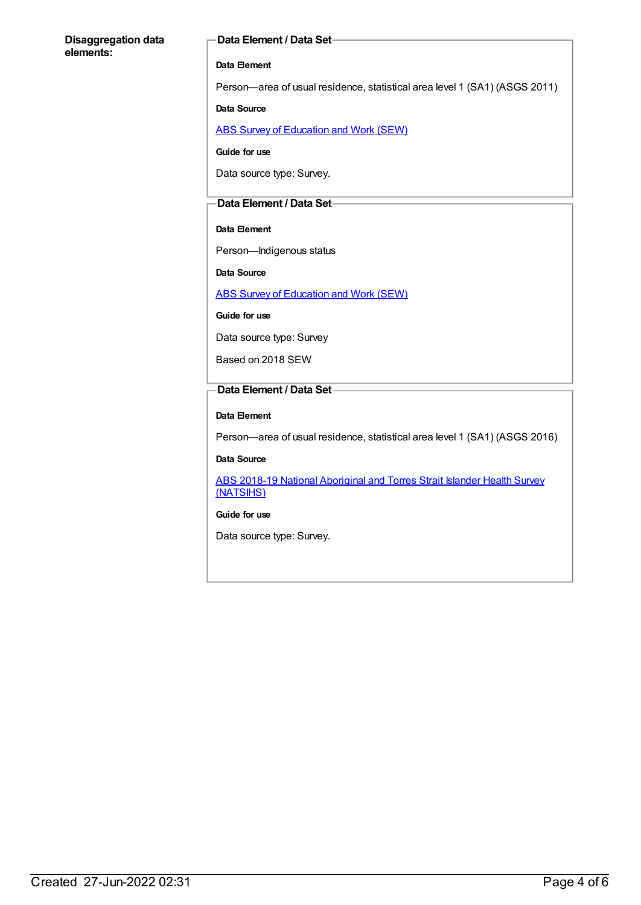#### **Disaggregation data elements:**

#### **Data Element / Data Set**

#### **Data Element**

Person—area of usual residence, statistical area level 1 (SA1) (ASGS 2011)

#### **Data Source**

ABS Survey of [Education](https://meteor.aihw.gov.au/content/396601) and Work (SEW)

**Guide for use**

Data source type: Survey.

#### **Data Element / Data Set**

#### **Data Element**

Person—Indigenous status

**Data Source**

ABS Survey of [Education](https://meteor.aihw.gov.au/content/396601) and Work (SEW)

#### **Guide for use**

Data source type: Survey

Based on 2018 SEW

#### **Data Element / Data Set**

#### **Data Element**

Person—area of usual residence, statistical area level 1 (SA1) (ASGS 2016)

#### **Data Source**

ABS 2018-19 National [Aboriginal](https://meteor.aihw.gov.au/content/719848) and Torres Strait Islander Health Survey (NATSIHS)

**Guide for use**

Data source type: Survey.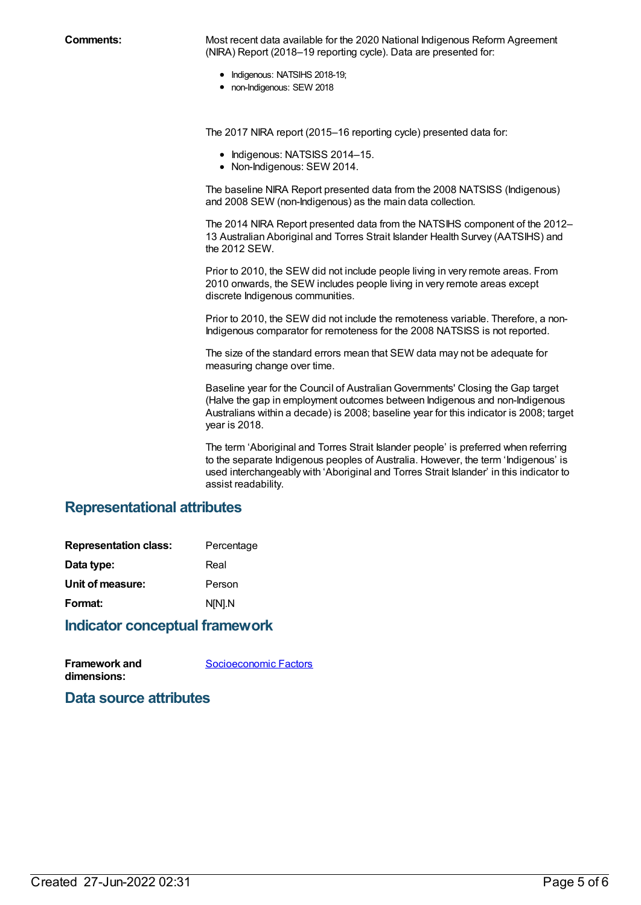**Comments:** Most recent data available for the 2020 National Indigenous Reform Agreement (NIRA) Report (2018–19 reporting cycle). Data are presented for:

- Indigenous: NATSIHS 2018-19;
- non-Indigenous: SEW 2018

The 2017 NIRA report (2015–16 reporting cycle) presented data for:

- Indigenous: NATSISS 2014-15.
- Non-Indigenous: SEW 2014.

The baseline NIRA Report presented data from the 2008 NATSISS (Indigenous) and 2008 SEW (non-Indigenous) as the main data collection.

The 2014 NIRA Report presented data from the NATSIHS component of the 2012– 13 Australian Aboriginal and Torres Strait Islander Health Survey (AATSIHS) and the 2012 SEW.

Prior to 2010, the SEW did not include people living in very remote areas. From 2010 onwards, the SEW includes people living in very remote areas except discrete Indigenous communities.

Prior to 2010, the SEW did not include the remoteness variable. Therefore, a non-Indigenous comparator for remoteness for the 2008 NATSISS is not reported.

The size of the standard errors mean that SEW data may not be adequate for measuring change over time.

Baseline year for the Council of Australian Governments' Closing the Gap target (Halve the gap in employment outcomes between Indigenous and non-Indigenous Australians within a decade) is 2008; baseline year for this indicator is 2008; target year is 2018.

The term 'Aboriginal and Torres Strait Islander people' is preferred when referring to the separate Indigenous peoples of Australia. However, the term 'Indigenous' is used interchangeably with 'Aboriginal and Torres Strait Islander' in this indicator to assist readability.

## **Representational attributes**

| <b>Representation class:</b> | Percentage |
|------------------------------|------------|
| Data type:                   | Real       |
| Unit of measure:             | Person     |
| Format:                      | N[N].N     |
|                              |            |

## **Indicator conceptual framework**

| <b>Framework and</b> | Socioeconomic Factors |
|----------------------|-----------------------|
| dimensions:          |                       |

**Data source attributes**